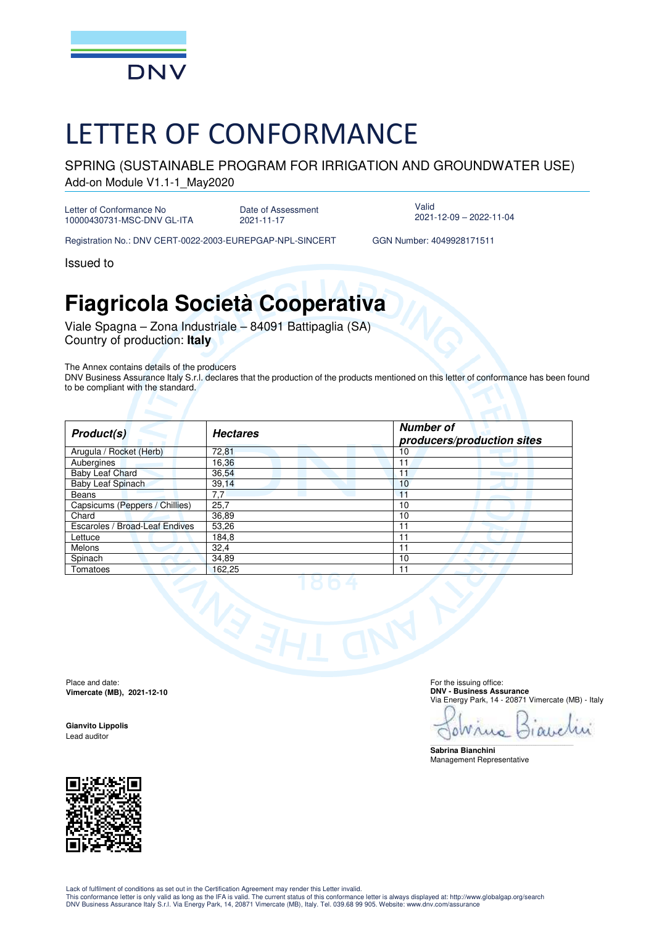

## LETTER OF CONFORMANCE

SPRING (SUSTAINABLE PROGRAM FOR IRRIGATION AND GROUNDWATER USE) Add-on Module V1.1-1\_May2020

Letter of Conformance No 10000430731-MSC-DNV GL-ITA

Date of Assessment 2021-11-17

Valid 2021-12-09 – 2022-11-04

Registration No.: DNV CERT-0022-2003-EUREPGAP-NPL-SINCERT GGN Number: 4049928171511

Issued to

## **Fiagricola Società Cooperativa**

Viale Spagna – Zona Industriale – 84091 Battipaglia (SA) Country of production: **Italy**

The Annex contains details of the producers

DNV Business Assurance Italy S.r.l. declares that the production of the products mentioned on this letter of conformance has been found to be compliant with the standard.

| Product(s)                     | <b>Hectares</b> | <b>Number of</b><br>producers/production sites |
|--------------------------------|-----------------|------------------------------------------------|
| Arugula / Rocket (Herb)        | 72,81           | 10                                             |
| Aubergines                     | 16,36           | 11                                             |
| <b>Baby Leaf Chard</b>         | 36,54           | 11                                             |
| Baby Leaf Spinach              | 39,14           | 10                                             |
| Beans                          | 7,7             | 11                                             |
| Capsicums (Peppers / Chillies) | 25,7            | 10                                             |
| Chard                          | 36,89           | 10                                             |
| Escaroles / Broad-Leaf Endives | 53,26           | 11                                             |
| Lettuce                        | 184,8           | 11                                             |
| Melons                         | 32,4            | 11                                             |
| Spinach                        | 34,89           | 10                                             |
| Tomatoes                       | 162,25          | 11                                             |
|                                |                 |                                                |

Place and date: **Vimercate (MB), 2021-12-10** 

**Gianvito Lippolis**  Lead auditor



 For the issuing office: **DNV - Business Assurance**  Via Energy Park, 14 - 20871 Vimercate (MB) - Italy

OWrus  $A$ 

\_\_\_\_\_\_\_\_\_\_\_\_\_\_\_\_\_\_\_\_\_\_\_\_\_\_\_\_\_\_\_\_\_\_\_\_\_\_\_\_\_\_\_\_\_\_\_\_\_\_\_\_\_\_\_\_\_\_\_\_\_\_\_\_\_\_\_\_\_\_\_\_\_\_\_\_\_\_ **Sabrina Bianchini**  Management Representative

Lack of fulfilment of conditions as set out in the Certification Agreement may render this Letter invalid.

This conformance letter is only valid as long as the IFA is valid. The current status of this conformance letter is always displayed at: http://www.globalgap.org/search<br>DNV Business Assurance Italy S.r.l. Via Energy Park,